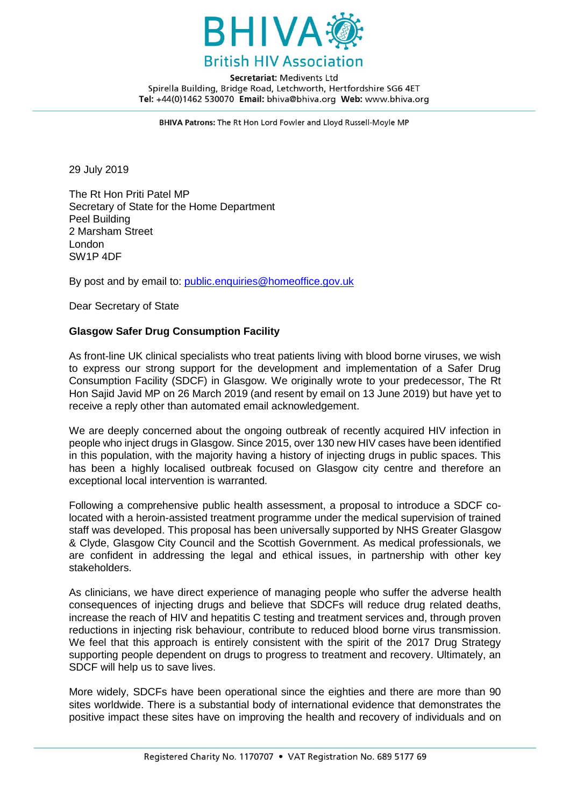

Secretariat: Medivents Ltd Spirella Building, Bridge Road, Letchworth, Hertfordshire SG6 4ET Tel: +44(0)1462 530070 Email: bhiva@bhiva.org Web: www.bhiva.org

BHIVA Patrons: The Rt Hon Lord Fowler and Lloyd Russell-Moyle MP

29 July 2019

The Rt Hon Priti Patel MP Secretary of State for the Home Department Peel Building 2 Marsham Street London SW1P 4DF

By post and by email to: [public.enquiries@homeoffice.gov.uk](mailto:public.enquiries@homeoffice.gov.uk)

Dear Secretary of State

## **Glasgow Safer Drug Consumption Facility**

As front-line UK clinical specialists who treat patients living with blood borne viruses, we wish to express our strong support for the development and implementation of a Safer Drug Consumption Facility (SDCF) in Glasgow. We originally wrote to your predecessor, The Rt Hon Sajid Javid MP on 26 March 2019 (and resent by email on 13 June 2019) but have yet to receive a reply other than automated email acknowledgement.

We are deeply concerned about the ongoing outbreak of recently acquired HIV infection in people who inject drugs in Glasgow. Since 2015, over 130 new HIV cases have been identified in this population, with the majority having a history of injecting drugs in public spaces. This has been a highly localised outbreak focused on Glasgow city centre and therefore an exceptional local intervention is warranted.

Following a comprehensive public health assessment, a proposal to introduce a SDCF colocated with a heroin-assisted treatment programme under the medical supervision of trained staff was developed. This proposal has been universally supported by NHS Greater Glasgow & Clyde, Glasgow City Council and the Scottish Government. As medical professionals, we are confident in addressing the legal and ethical issues, in partnership with other key stakeholders.

As clinicians, we have direct experience of managing people who suffer the adverse health consequences of injecting drugs and believe that SDCFs will reduce drug related deaths, increase the reach of HIV and hepatitis C testing and treatment services and, through proven reductions in injecting risk behaviour, contribute to reduced blood borne virus transmission. We feel that this approach is entirely consistent with the spirit of the 2017 Drug Strategy supporting people dependent on drugs to progress to treatment and recovery. Ultimately, an SDCF will help us to save lives.

More widely, SDCFs have been operational since the eighties and there are more than 90 sites worldwide. There is a substantial body of international evidence that demonstrates the positive impact these sites have on improving the health and recovery of individuals and on